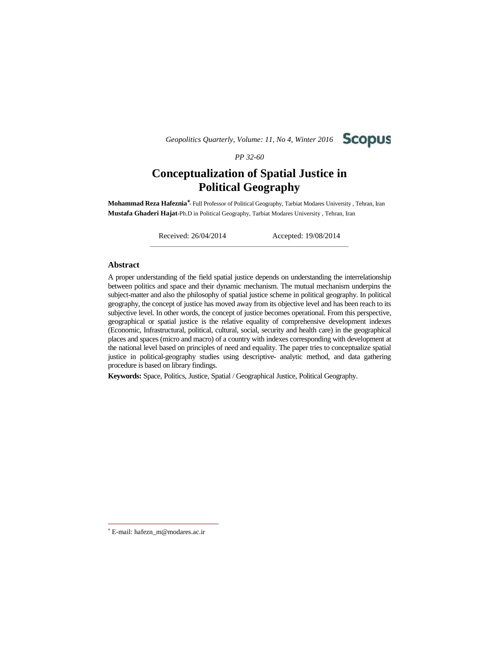*Geopolitics Quarterly, Volume: 11, No 4, Winter 2016*



*PP 32-60*

# **Conceptualization of Spatial Justice in Political Geography**

**Mohammad Reza Hafeznia** - Full Professor of Political Geography, Tarbiat Modares University , Tehran, Iran **Mustafa Ghaderi Hajat**-Ph.D in Political Geography, Tarbiat Modares University , Tehran, Iran

\_\_\_\_\_\_\_\_\_\_\_\_\_\_\_\_\_\_\_\_\_\_\_\_\_\_\_\_\_\_\_\_\_\_\_\_\_\_\_\_\_\_\_\_\_\_\_\_\_\_\_\_\_\_\_\_\_\_\_\_\_\_\_\_\_\_\_\_\_\_\_\_\_\_

Received: 26/04/2014 Accepted: 19/08/2014

### **Abstract**

A proper understanding of the field spatial justice depends on understanding the interrelationship between politics and space and their dynamic mechanism. The mutual mechanism underpins the subject-matter and also the philosophy of spatial justice scheme in political geography. In political geography, the concept of justice has moved away from its objective level and has been reach to its subjective level. In other words, the concept of justice becomes operational. From this perspective, geographical or spatial justice is the relative equality of comprehensive development indexes (Economic, Infrastructural, political, cultural, social, security and health care) in the geographical places and spaces (micro and macro) of a country with indexes corresponding with development at the national level based on principles of need and equality. The paper tries to conceptualize spatial justice in political-geography studies using descriptive- analytic method, and data gathering procedure is based on library findings.

**Keywords:** Space, Politics, Justice, Spatial / Geographical Justice, Political Geography.

E-mail: hafezn\_m@modares.ac.ir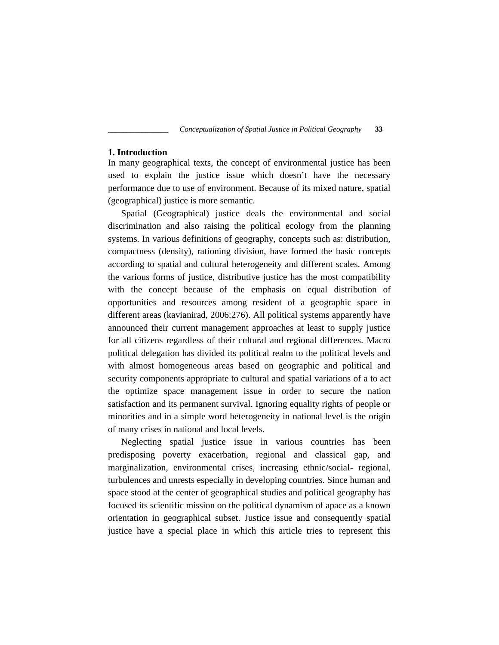## **1. Introduction**

In many geographical texts, the concept of environmental justice has been used to explain the justice issue which doesn't have the necessary performance due to use of environment. Because of its mixed nature, spatial (geographical) justice is more semantic.

Spatial (Geographical) justice deals the environmental and social discrimination and also raising the political ecology from the planning systems. In various definitions of geography, concepts such as: distribution, compactness (density), rationing division, have formed the basic concepts according to spatial and cultural heterogeneity and different scales. Among the various forms of justice, distributive justice has the most compatibility with the concept because of the emphasis on equal distribution of opportunities and resources among resident of a geographic space in different areas (kavianirad, 2006:276). All political systems apparently have announced their current management approaches at least to supply justice for all citizens regardless of their cultural and regional differences. Macro political delegation has divided its political realm to the political levels and with almost homogeneous areas based on geographic and political and security components appropriate to cultural and spatial variations of a to act the optimize space management issue in order to secure the nation satisfaction and its permanent survival. Ignoring equality rights of people or minorities and in a simple word heterogeneity in national level is the origin of many crises in national and local levels.

Neglecting spatial justice issue in various countries has been predisposing poverty exacerbation, regional and classical gap, and marginalization, environmental crises, increasing ethnic/social- regional, turbulences and unrests especially in developing countries. Since human and space stood at the center of geographical studies and political geography has focused its scientific mission on the political dynamism of apace as a known orientation in geographical subset. Justice issue and consequently spatial justice have a special place in which this article tries to represent this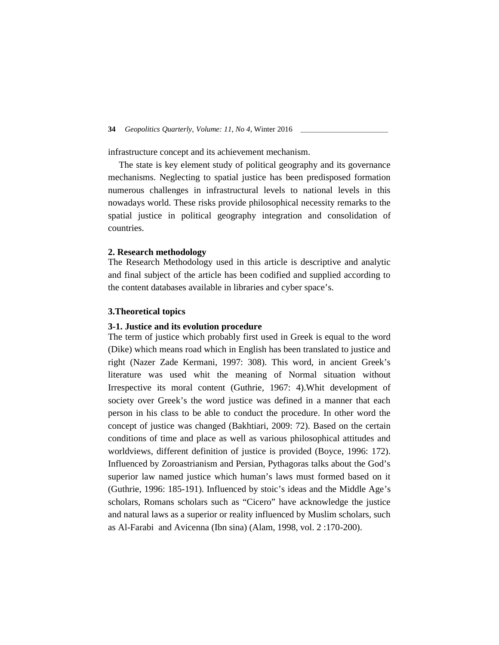infrastructure concept and its achievement mechanism.

The state is key element study of political geography and its governance mechanisms. Neglecting to spatial justice has been predisposed formation numerous challenges in infrastructural levels to national levels in this nowadays world. These risks provide philosophical necessity remarks to the spatial justice in political geography integration and consolidation of countries.

### **2. Research methodology**

The Research Methodology used in this article is descriptive and analytic and final subject of the article has been codified and supplied according to the content databases available in libraries and cyber space's.

### **3.Theoretical topics**

## **3-1. Justice and its evolution procedure**

The term of justice which probably first used in Greek is equal to the word (Dike) which means road which in English has been translated to justice and right (Nazer Zade Kermani, 1997: 308). This word, in ancient Greek's literature was used whit the meaning of Normal situation without Irrespective its moral content (Guthrie, 1967: 4).Whit development of society over Greek's the word justice was defined in a manner that each person in his class to be able to conduct the procedure. In other word the concept of justice was changed (Bakhtiari, 2009: 72). Based on the certain conditions of time and place as well as various philosophical attitudes and worldviews, different definition of justice is provided (Boyce, 1996: 172). Influenced by Zoroastrianism and Persian, Pythagoras talks about the God's superior law named justice which human's laws must formed based on it (Guthrie, 1996: 185-191). Influenced by stoic's ideas and the Middle Age's scholars, Romans scholars such as "Cicero" have acknowledge the justice and natural laws as a superior or reality influenced by Muslim scholars, such as Al-Farabi and Avicenna (Ibn sina) (Alam, 1998, vol. 2 :170-200).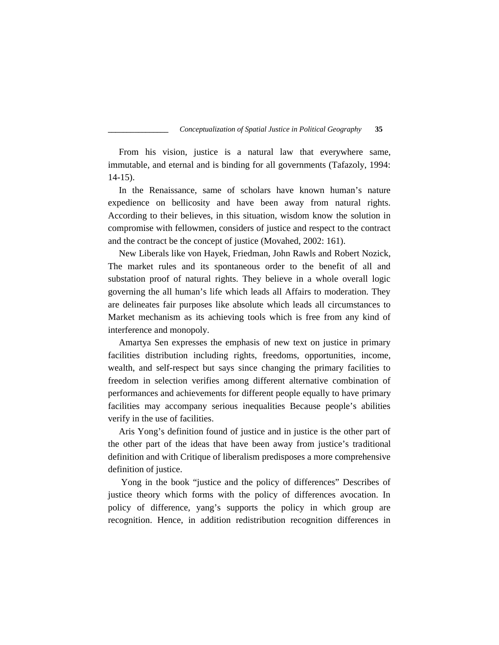From his vision, justice is a natural law that everywhere same, immutable, and eternal and is binding for all governments (Tafazoly, 1994: 14-15).

In the Renaissance, same of scholars have known human's nature expedience on bellicosity and have been away from natural rights. According to their believes, in this situation, wisdom know the solution in compromise with fellowmen, considers of justice and respect to the contract and the contract be the concept of justice (Movahed, 2002: 161).

New Liberals like von Hayek, Friedman, John Rawls and Robert Nozick, The market rules and its spontaneous order to the benefit of all and substation proof of natural rights. They believe in a whole overall logic governing the all human's life which leads all Affairs to moderation. They are delineates fair purposes like absolute which leads all circumstances to Market mechanism as its achieving tools which is free from any kind of interference and monopoly.

Amartya Sen expresses the emphasis of new text on justice in primary facilities distribution including rights, freedoms, opportunities, income, wealth, and self-respect but says since changing the primary facilities to freedom in selection verifies among different alternative combination of performances and achievements for different people equally to have primary facilities may accompany serious inequalities Because people's abilities verify in the use of facilities.

Aris Yong's definition found of justice and in justice is the other part of the other part of the ideas that have been away from justice's traditional definition and with Critique of liberalism predisposes a more comprehensive definition of justice.

Yong in the book "justice and the policy of differences" Describes of justice theory which forms with the policy of differences avocation. In policy of difference, yang's supports the policy in which group are recognition. Hence, in addition redistribution recognition differences in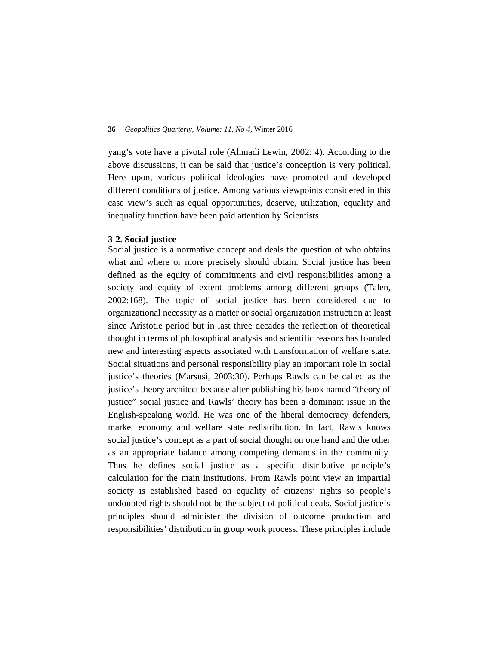yang's vote have a pivotal role (Ahmadi Lewin, 2002: 4). According to the above discussions, it can be said that justice's conception is very political. Here upon, various political ideologies have promoted and developed different conditions of justice. Among various viewpoints considered in this case view's such as equal opportunities, deserve, utilization, equality and inequality function have been paid attention by Scientists.

### **3-2. Social justice**

Social justice is a normative concept and deals the question of who obtains what and where or more precisely should obtain. Social justice has been defined as the equity of commitments and civil responsibilities among a society and equity of extent problems among different groups (Talen, 2002:168). The topic of social justice has been considered due to organizational necessity as a matter or social organization instruction at least since Aristotle period but in last three decades the reflection of theoretical thought in terms of philosophical analysis and scientific reasons has founded new and interesting aspects associated with transformation of welfare state. Social situations and personal responsibility play an important role in social justice's theories (Marsusi, 2003:30). Perhaps Rawls can be called as the justice's theory architect because after publishing his book named "theory of justice" social justice and Rawls' theory has been a dominant issue in the English-speaking world. He was one of the liberal democracy defenders, market economy and welfare state redistribution. In fact, Rawls knows social justice's concept as a part of social thought on one hand and the other as an appropriate balance among competing demands in the community. Thus he defines social justice as a specific distributive principle's calculation for the main institutions. From Rawls point view an impartial society is established based on equality of citizens' rights so people's undoubted rights should not be the subject of political deals. Social justice's principles should administer the division of outcome production and responsibilities' distribution in group work process. These principles include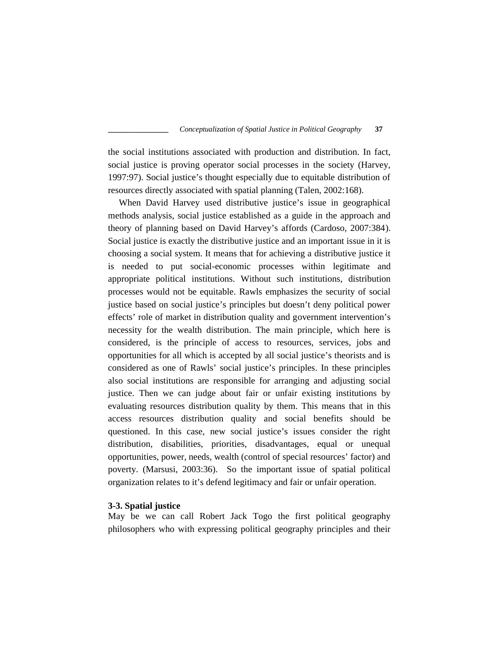the social institutions associated with production and distribution. In fact, social justice is proving operator social processes in the society (Harvey, 1997:97). Social justice's thought especially due to equitable distribution of resources directly associated with spatial planning (Talen, 2002:168).

When David Harvey used distributive justice's issue in geographical methods analysis, social justice established as a guide in the approach and theory of planning based on David Harvey's affords (Cardoso, 2007:384). Social justice is exactly the distributive justice and an important issue in it is choosing a social system. It means that for achieving a distributive justice it is needed to put social-economic processes within legitimate and appropriate political institutions. Without such institutions, distribution processes would not be equitable. Rawls emphasizes the security of social justice based on social justice's principles but doesn't deny political power effects' role of market in distribution quality and government intervention's necessity for the wealth distribution. The main principle, which here is considered, is the principle of access to resources, services, jobs and opportunities for all which is accepted by all social justice's theorists and is considered as one of Rawls' social justice's principles. In these principles also social institutions are responsible for arranging and adjusting social justice. Then we can judge about fair or unfair existing institutions by evaluating resources distribution quality by them. This means that in this access resources distribution quality and social benefits should be questioned. In this case, new social justice's issues consider the right distribution, disabilities, priorities, disadvantages, equal or unequal opportunities, power, needs, wealth (control of special resources' factor) and poverty. (Marsusi, 2003:36). So the important issue of spatial political organization relates to it's defend legitimacy and fair or unfair operation.

## **3-3. Spatial justice**

May be we can call Robert Jack Togo the first political geography philosophers who with expressing political geography principles and their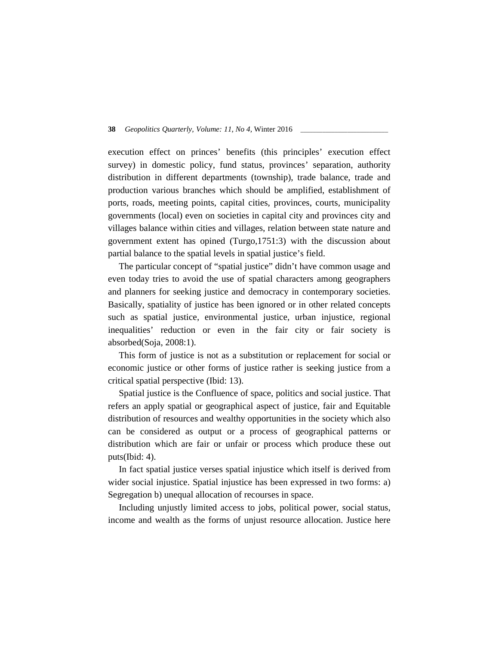execution effect on princes' benefits (this principles' execution effect survey) in domestic policy, fund status, provinces' separation, authority distribution in different departments (township), trade balance, trade and production various branches which should be amplified, establishment of ports, roads, meeting points, capital cities, provinces, courts, municipality governments (local) even on societies in capital city and provinces city and villages balance within cities and villages, relation between state nature and government extent has opined (Turgo,1751:3) with the discussion about partial balance to the spatial levels in spatial justice's field.

The particular concept of "spatial justice" didn't have common usage and even today tries to avoid the use of spatial characters among geographers and planners for seeking justice and democracy in contemporary societies. Basically, spatiality of justice has been ignored or in other related concepts such as spatial justice, environmental justice, urban injustice, regional inequalities' reduction or even in the fair city or fair society is absorbed(Soja, 2008:1).

This form of justice is not as a substitution or replacement for social or economic justice or other forms of justice rather is seeking justice from a critical spatial perspective (Ibid: 13).

Spatial justice is the Confluence of space, politics and social justice. That refers an apply spatial or geographical aspect of justice, fair and Equitable distribution of resources and wealthy opportunities in the society which also can be considered as output or a process of geographical patterns or distribution which are fair or unfair or process which produce these out puts(Ibid: 4).

In fact spatial justice verses spatial injustice which itself is derived from wider social injustice. Spatial injustice has been expressed in two forms: a) Segregation b) unequal allocation of recourses in space.

Including unjustly limited access to jobs, political power, social status, income and wealth as the forms of unjust resource allocation. Justice here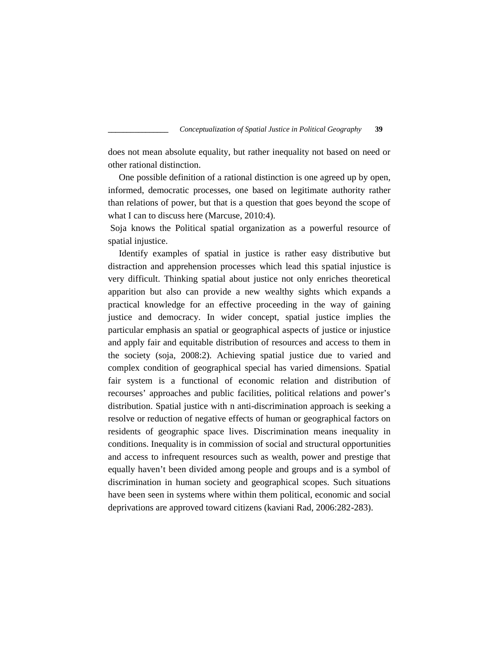does not mean absolute equality, but rather inequality not based on need or other rational distinction.

One possible definition of a rational distinction is one agreed up by open, informed, democratic processes, one based on legitimate authority rather than relations of power, but that is a question that goes beyond the scope of what I can to discuss here (Marcuse, 2010:4).

Soja knows the Political spatial organization as a powerful resource of spatial injustice.

Identify examples of spatial in justice is rather easy distributive but distraction and apprehension processes which lead this spatial injustice is very difficult. Thinking spatial about justice not only enriches theoretical apparition but also can provide a new wealthy sights which expands a practical knowledge for an effective proceeding in the way of gaining justice and democracy. In wider concept, spatial justice implies the particular emphasis an spatial or geographical aspects of justice or injustice and apply fair and equitable distribution of resources and access to them in the society (soja, 2008:2). Achieving spatial justice due to varied and complex condition of geographical special has varied dimensions. Spatial fair system is a functional of economic relation and distribution of recourses' approaches and public facilities, political relations and power's distribution. Spatial justice with n anti-discrimination approach is seeking a resolve or reduction of negative effects of human or geographical factors on residents of geographic space lives. Discrimination means inequality in conditions. Inequality is in commission of social and structural opportunities and access to infrequent resources such as wealth, power and prestige that equally haven't been divided among people and groups and is a symbol of discrimination in human society and geographical scopes. Such situations have been seen in systems where within them political, economic and social deprivations are approved toward citizens (kaviani Rad, 2006:282-283).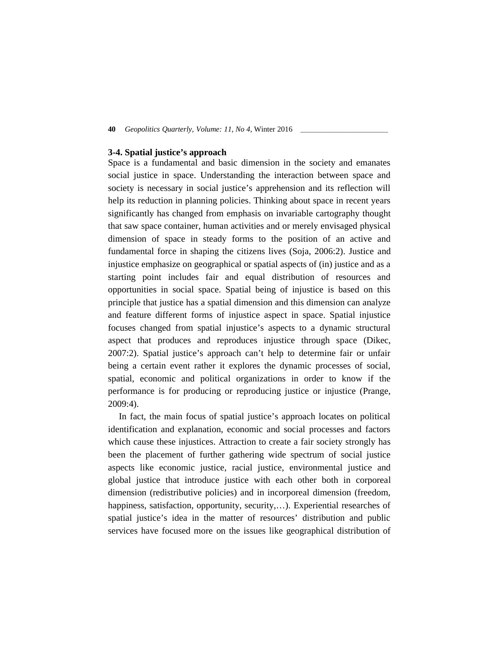## **3-4. Spatial justice's approach**

Space is a fundamental and basic dimension in the society and emanates social justice in space. Understanding the interaction between space and society is necessary in social justice's apprehension and its reflection will help its reduction in planning policies. Thinking about space in recent years significantly has changed from emphasis on invariable cartography thought that saw space container, human activities and or merely envisaged physical dimension of space in steady forms to the position of an active and fundamental force in shaping the citizens lives (Soja, 2006:2). Justice and injustice emphasize on geographical or spatial aspects of (in) justice and as a starting point includes fair and equal distribution of resources and opportunities in social space. Spatial being of injustice is based on this principle that justice has a spatial dimension and this dimension can analyze and feature different forms of injustice aspect in space. Spatial injustice focuses changed from spatial injustice's aspects to a dynamic structural aspect that produces and reproduces injustice through space (Dikec, 2007:2). Spatial justice's approach can't help to determine fair or unfair being a certain event rather it explores the dynamic processes of social, spatial, economic and political organizations in order to know if the performance is for producing or reproducing justice or injustice (Prange, 2009:4).

In fact, the main focus of spatial justice's approach locates on political identification and explanation, economic and social processes and factors which cause these injustices. Attraction to create a fair society strongly has been the placement of further gathering wide spectrum of social justice aspects like economic justice, racial justice, environmental justice and global justice that introduce justice with each other both in corporeal dimension (redistributive policies) and in incorporeal dimension (freedom, happiness, satisfaction, opportunity, security,...). Experiential researches of spatial justice's idea in the matter of resources' distribution and public services have focused more on the issues like geographical distribution of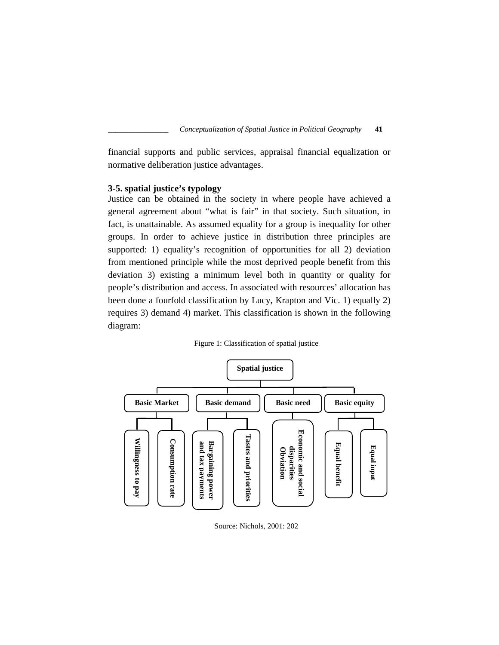financial supports and public services, appraisal financial equalization or normative deliberation justice advantages.

## **3-5. spatial justice's typology**

Justice can be obtained in the society in where people have achieved a general agreement about "what is fair" in that society. Such situation, in fact, is unattainable. As assumed equality for a group is inequality for other groups. In order to achieve justice in distribution three principles are supported: 1) equality's recognition of opportunities for all 2) deviation from mentioned principle while the most deprived people benefit from this deviation 3) existing a minimum level both in quantity or quality for people's distribution and access. In associated with resources' allocation has been done a fourfold classification by Lucy, Krapton and Vic. 1) equally 2) requires 3) demand 4) market. This classification is shown in the following diagram:





Source: Nichols, 2001: 202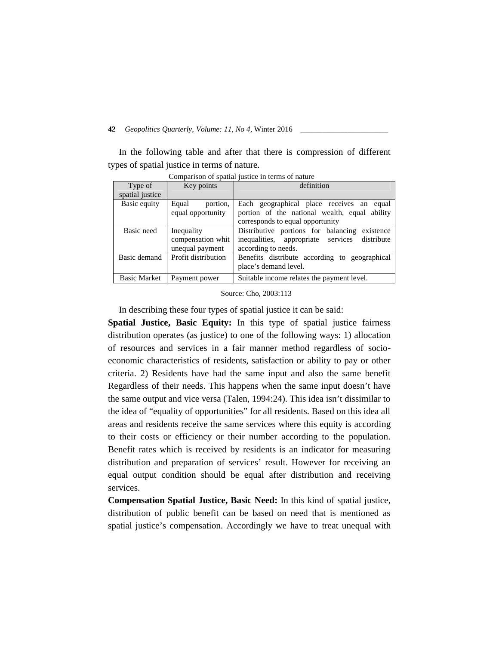In the following table and after that there is compression of different types of spatial justice in terms of nature.

| Type of<br>spatial justice | Key points                                         | definition                                                                                                                     |
|----------------------------|----------------------------------------------------|--------------------------------------------------------------------------------------------------------------------------------|
| Basic equity               | Equal<br>portion.<br>equal opportunity             | Each geographical place receives an equal<br>portion of the national wealth, equal ability<br>corresponds to equal opportunity |
| Basic need                 | Inequality<br>compensation whit<br>unequal payment | Distributive portions for balancing existence<br>inequalities, appropriate services<br>distribute<br>according to needs.       |
| Basic demand               | Profit distribution                                | Benefits distribute according to geographical<br>place's demand level.                                                         |
| <b>Basic Market</b>        | Payment power                                      | Suitable income relates the payment level.                                                                                     |

Comparison of spatial justice in terms of nature

Source: Cho, 2003:113

In describing these four types of spatial justice it can be said:

**Spatial Justice, Basic Equity:** In this type of spatial justice fairness distribution operates (as justice) to one of the following ways: 1) allocation of resources and services in a fair manner method regardless of socio economic characteristics of residents, satisfaction or ability to pay or other criteria. 2) Residents have had the same input and also the same benefit Regardless of their needs. This happens when the same input doesn't have the same output and vice versa (Talen, 1994:24). This idea isn't dissimilar to the idea of "equality of opportunities" for all residents. Based on this idea all areas and residents receive the same services where this equity is according to their costs or efficiency or their number according to the population. Benefit rates which is received by residents is an indicator for measuring distribution and preparation of services' result. However for receiving an equal output condition should be equal after distribution and receiving services.

**Compensation Spatial Justice, Basic Need:** In this kind of spatial justice, distribution of public benefit can be based on need that is mentioned as spatial justice's compensation. Accordingly we have to treat unequal with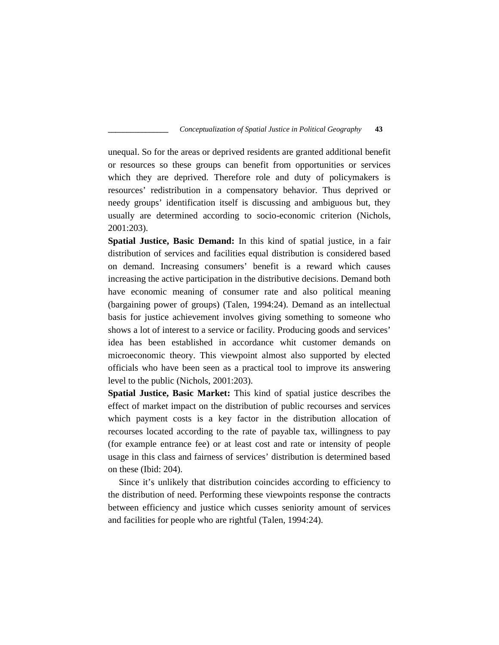unequal. So for the areas or deprived residents are granted additional benefit or resources so these groups can benefit from opportunities or services which they are deprived. Therefore role and duty of policymakers is resources' redistribution in a compensatory behavior. Thus deprived or needy groups' identification itself is discussing and ambiguous but, they usually are determined according to socio-economic criterion (Nichols, 2001:203).

**Spatial Justice, Basic Demand:** In this kind of spatial justice, in a fair distribution of services and facilities equal distribution is considered based on demand. Increasing consumers' benefit is a reward which causes increasing the active participation in the distributive decisions. Demand both have economic meaning of consumer rate and also political meaning (bargaining power of groups) (Talen, 1994:24). Demand as an intellectual basis for justice achievement involves giving something to someone who shows a lot of interest to a service or facility. Producing goods and services' idea has been established in accordance whit customer demands on microeconomic theory. This viewpoint almost also supported by elected officials who have been seen as a practical tool to improve its answering level to the public (Nichols, 2001:203).

**Spatial Justice, Basic Market:** This kind of spatial justice describes the effect of market impact on the distribution of public recourses and services which payment costs is a key factor in the distribution allocation of recourses located according to the rate of payable tax, willingness to pay (for example entrance fee) or at least cost and rate or intensity of people usage in this class and fairness of services' distribution is determined based on these (Ibid: 204).

Since it's unlikely that distribution coincides according to efficiency to the distribution of need. Performing these viewpoints response the contracts between efficiency and justice which cusses seniority amount of services and facilities for people who are rightful (Talen, 1994:24).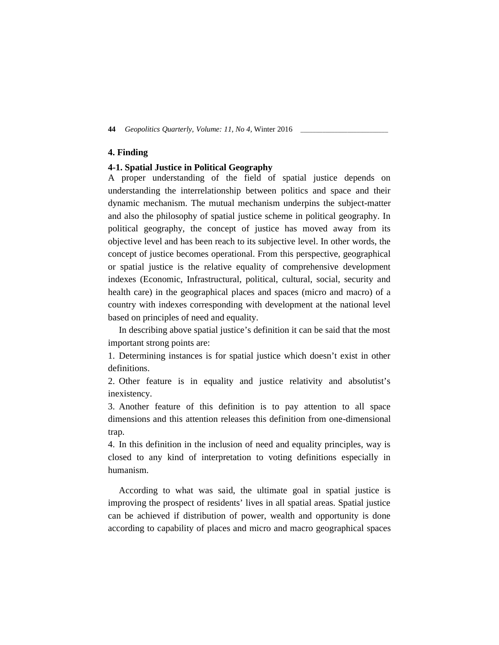## **4. Finding**

## **4-1. Spatial Justice in Political Geography**

A proper understanding of the field of spatial justice depends on understanding the interrelationship between politics and space and their dynamic mechanism. The mutual mechanism underpins the subject-matter and also the philosophy of spatial justice scheme in political geography. In political geography, the concept of justice has moved away from its objective level and has been reach to its subjective level. In other words, the concept of justice becomes operational. From this perspective, geographical or spatial justice is the relative equality of comprehensive development indexes (Economic, Infrastructural, political, cultural, social, security and health care) in the geographical places and spaces (micro and macro) of a country with indexes corresponding with development at the national level based on principles of need and equality.

In describing above spatial justice's definition it can be said that the most important strong points are:

1. Determining instances is for spatial justice which doesn't exist in other definitions.

2. Other feature is in equality and justice relativity and absolutist's inexistency.

3. Another feature of this definition is to pay attention to all space dimensions and this attention releases this definition from one-dimensional trap.

4. In this definition in the inclusion of need and equality principles, way is closed to any kind of interpretation to voting definitions especially in humanism.

According to what was said, the ultimate goal in spatial justice is improving the prospect of residents' lives in all spatial areas. Spatial justice can be achieved if distribution of power, wealth and opportunity is done according to capability of places and micro and macro geographical spaces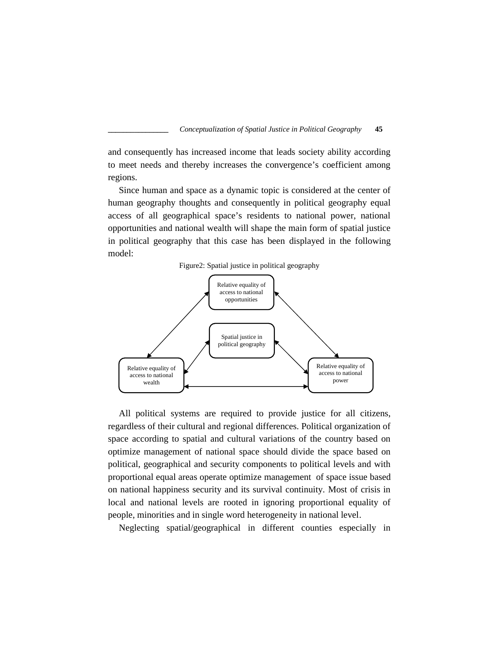and consequently has increased income that leads society ability according to meet needs and thereby increases the convergence's coefficient among regions.

Since human and space as a dynamic topic is considered at the center of human geography thoughts and consequently in political geography equal access of all geographical space's residents to national power, national opportunities and national wealth will shape the main form of spatial justice in political geography that this case has been displayed in the following model:





All political systems are required to provide justice for all citizens, regardless of their cultural and regional differences. Political organization of space according to spatial and cultural variations of the country based on optimize management of national space should divide the space based on political, geographical and security components to political levels and with proportional equal areas operate optimize management of space issue based on national happiness security and its survival continuity. Most of crisis in local and national levels are rooted in ignoring proportional equality of people, minorities and in single word heterogeneity in national level.

Neglecting spatial/geographical in different counties especially in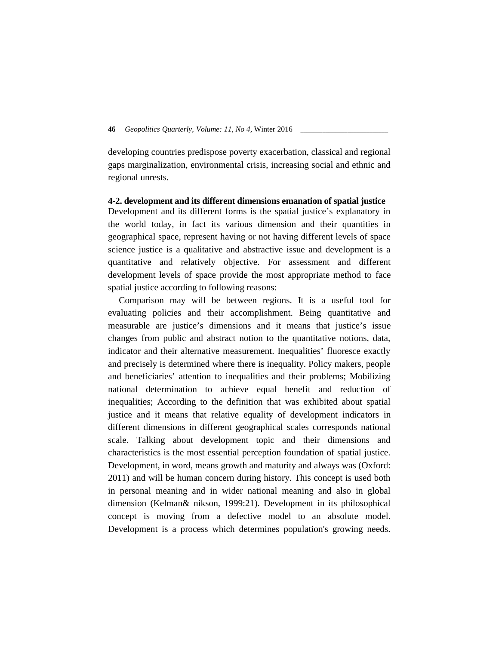developing countries predispose poverty exacerbation, classical and regional gaps marginalization, environmental crisis, increasing social and ethnic and regional unrests.

## **4-2. development and its different dimensions emanation of spatial justice**

Development and its different forms is the spatial justice's explanatory in the world today, in fact its various dimension and their quantities in geographical space, represent having or not having different levels of space science justice is a qualitative and abstractive issue and development is a quantitative and relatively objective. For assessment and different development levels of space provide the most appropriate method to face spatial justice according to following reasons:

Comparison may will be between regions. It is a useful tool for evaluating policies and their accomplishment. Being quantitative and measurable are justice's dimensions and it means that justice's issue changes from public and abstract notion to the quantitative notions, data, indicator and their alternative measurement. Inequalities' fluoresce exactly and precisely is determined where there is inequality. Policy makers, people and beneficiaries' attention to inequalities and their problems; Mobilizing national determination to achieve equal benefit and reduction of inequalities; According to the definition that was exhibited about spatial justice and it means that relative equality of development indicators in different dimensions in different geographical scales corresponds national scale. Talking about development topic and their dimensions and characteristics is the most essential perception foundation of spatial justice. Development, in word, means growth and maturity and always was (Oxford: 2011) and will be human concern during history. This concept is used both in personal meaning and in wider national meaning and also in global dimension (Kelman& nikson, 1999:21). Development in its philosophical concept is moving from a defective model to an absolute model. Development is a process which determines population's growing needs.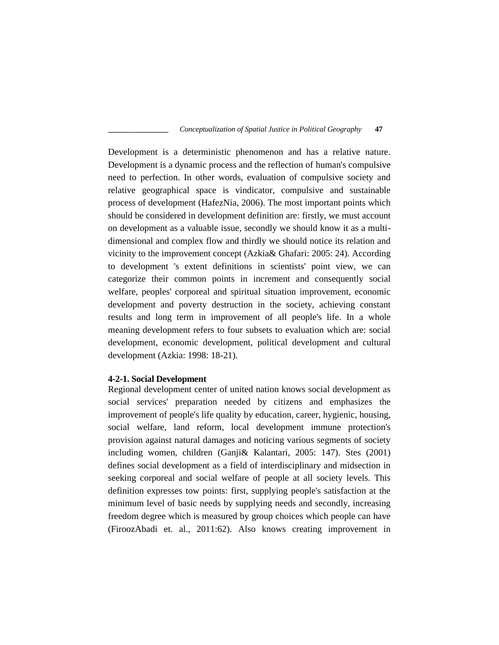Development is a deterministic phenomenon and has a relative nature. Development is a dynamic process and the reflection of human's compulsive need to perfection. In other words, evaluation of compulsive society and relative geographical space is vindicator, compulsive and sustainable process of development (HafezNia, 2006). The most important points which should be considered in development definition are: firstly, we must account on development as a valuable issue, secondly we should know it as a multi dimensional and complex flow and thirdly we should notice its relation and vicinity to the improvement concept (Azkia& Ghafari: 2005: 24). According to development 's extent definitions in scientists' point view, we can categorize their common points in increment and consequently social welfare, peoples' corporeal and spiritual situation improvement, economic development and poverty destruction in the society, achieving constant results and long term in improvement of all people's life. In a whole meaning development refers to four subsets to evaluation which are: social development, economic development, political development and cultural development (Azkia: 1998: 18-21).

#### **4-2-1. Social Development**

Regional development center of united nation knows social development as social services' preparation needed by citizens and emphasizes the improvement of people's life quality by education, career, hygienic, housing, social welfare, land reform, local development immune protection's provision against natural damages and noticing various segments of society including women, children (Ganji& Kalantari, 2005: 147). Stes (2001) defines social development as a field of interdisciplinary and midsection in seeking corporeal and social welfare of people at all society levels. This definition expresses tow points: first, supplying people's satisfaction at the minimum level of basic needs by supplying needs and secondly, increasing freedom degree which is measured by group choices which people can have (FiroozAbadi et. al., 2011:62). Also knows creating improvement in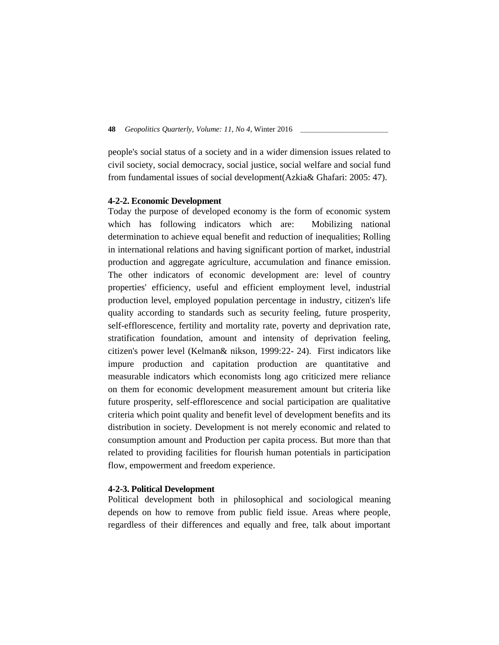people's social status of a society and in a wider dimension issues related to civil society, social democracy, social justice, social welfare and social fund from fundamental issues of social development(Azkia& Ghafari: 2005: 47).

## **4-2-2. Economic Development**

Today the purpose of developed economy is the form of economic system which has following indicators which are: Mobilizing national determination to achieve equal benefit and reduction of inequalities; Rolling in international relations and having significant portion of market, industrial production and aggregate agriculture, accumulation and finance emission. The other indicators of economic development are: level of country properties' efficiency, useful and efficient employment level, industrial production level, employed population percentage in industry, citizen's life quality according to standards such as security feeling, future prosperity, self-efflorescence, fertility and mortality rate, poverty and deprivation rate, stratification foundation, amount and intensity of deprivation feeling, citizen's power level (Kelman& nikson, 1999:22- 24). First indicators like impure production and capitation production are quantitative and measurable indicators which economists long ago criticized mere reliance on them for economic development measurement amount but criteria like future prosperity, self-efflorescence and social participation are qualitative criteria which point quality and benefit level of development benefits and its distribution in society. Development is not merely economic and related to consumption amount and Production per capita process. But more than that related to providing facilities for flourish human potentials in participation flow, empowerment and freedom experience.

## **4-2-3. Political Development**

Political development both in philosophical and sociological meaning depends on how to remove from public field issue. Areas where people, regardless of their differences and equally and free, talk about important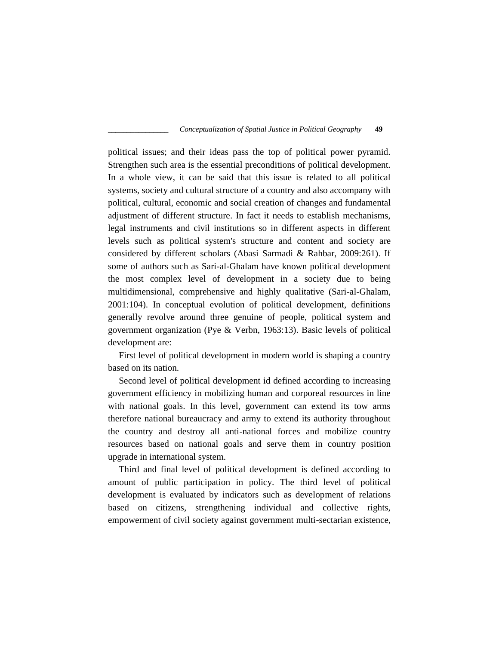political issues; and their ideas pass the top of political power pyramid. Strengthen such area is the essential preconditions of political development. In a whole view, it can be said that this issue is related to all political systems, society and cultural structure of a country and also accompany with political, cultural, economic and social creation of changes and fundamental adjustment of different structure. In fact it needs to establish mechanisms, legal instruments and civil institutions so in different aspects in different levels such as political system's structure and content and society are considered by different scholars (Abasi Sarmadi & Rahbar, 2009:261). If some of authors such as Sari-al-Ghalam have known political development the most complex level of development in a society due to being multidimensional, comprehensive and highly qualitative (Sari-al-Ghalam, 2001:104). In conceptual evolution of political development, definitions generally revolve around three genuine of people, political system and government organization (Pye & Verbn, 1963:13). Basic levels of political development are:

First level of political development in modern world is shaping a country based on its nation.

Second level of political development id defined according to increasing government efficiency in mobilizing human and corporeal resources in line with national goals. In this level, government can extend its tow arms therefore national bureaucracy and army to extend its authority throughout the country and destroy all anti-national forces and mobilize country resources based on national goals and serve them in country position upgrade in international system.

Third and final level of political development is defined according to amount of public participation in policy. The third level of political development is evaluated by indicators such as development of relations based on citizens, strengthening individual and collective rights, empowerment of civil society against government multi-sectarian existence,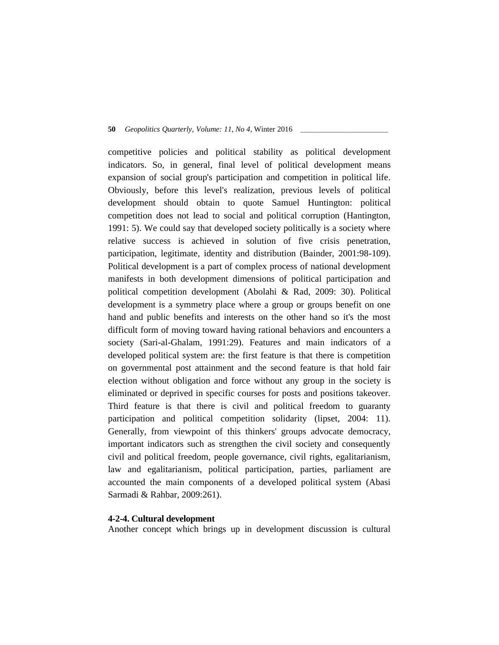competitive policies and political stability as political development indicators. So, in general, final level of political development means expansion of social group's participation and competition in political life. Obviously, before this level's realization, previous levels of political development should obtain to quote Samuel Huntington: political competition does not lead to social and political corruption (Hantington, 1991: 5). We could say that developed society politically is a society where relative success is achieved in solution of five crisis penetration, participation, legitimate, identity and distribution (Bainder, 2001:98-109). Political development is a part of complex process of national development manifests in both development dimensions of political participation and political competition development (Abolahi & Rad, 2009: 30). Political development is a symmetry place where a group or groups benefit on one hand and public benefits and interests on the other hand so it's the most difficult form of moving toward having rational behaviors and encounters a society (Sari-al-Ghalam, 1991:29). Features and main indicators of a developed political system are: the first feature is that there is competition on governmental post attainment and the second feature is that hold fair election without obligation and force without any group in the society is eliminated or deprived in specific courses for posts and positions takeover. Third feature is that there is civil and political freedom to guaranty participation and political competition solidarity (lipset, 2004: 11). Generally, from viewpoint of this thinkers' groups advocate democracy, important indicators such as strengthen the civil society and consequently civil and political freedom, people governance, civil rights, egalitarianism, law and egalitarianism, political participation, parties, parliament are accounted the main components of a developed political system (Abasi Sarmadi & Rahbar, 2009:261).

## **4-2-4. Cultural development**

Another concept which brings up in development discussion is cultural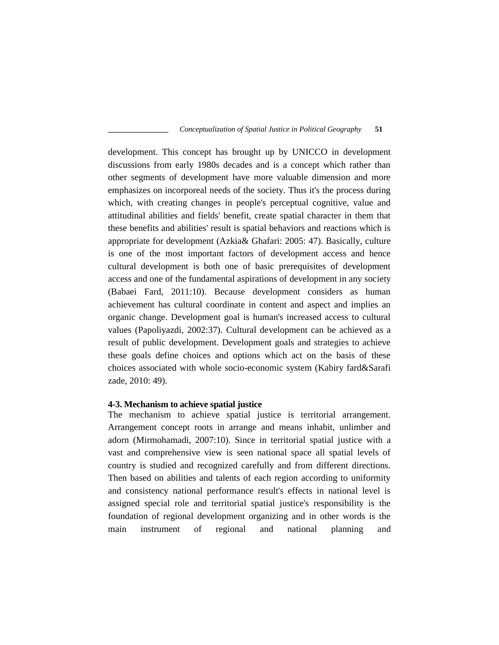development. This concept has brought up by UNICCO in development discussions from early 1980s decades and is a concept which rather than other segments of development have more valuable dimension and more emphasizes on incorporeal needs of the society. Thus it's the process during which, with creating changes in people's perceptual cognitive, value and attitudinal abilities and fields' benefit, create spatial character in them that these benefits and abilities' result is spatial behaviors and reactions which is appropriate for development (Azkia& Ghafari: 2005: 47). Basically, culture is one of the most important factors of development access and hence cultural development is both one of basic prerequisites of development access and one of the fundamental aspirations of development in any society (Babaei Fard, 2011:10). Because development considers as human achievement has cultural coordinate in content and aspect and implies an organic change. Development goal is human's increased access to cultural values (Papoliyazdi, 2002:37). Cultural development can be achieved as a result of public development. Development goals and strategies to achieve these goals define choices and options which act on the basis of these choices associated with whole socio-economic system (Kabiry fard&Sarafi zade, 2010: 49).

#### **4-3. Mechanism to achieve spatial justice**

The mechanism to achieve spatial justice is territorial arrangement. Arrangement concept roots in arrange and means inhabit, unlimber and adorn (Mirmohamadi, 2007:10). Since in territorial spatial justice with a vast and comprehensive view is seen national space all spatial levels of country is studied and recognized carefully and from different directions. Then based on abilities and talents of each region according to uniformity and consistency national performance result's effects in national level is assigned special role and territorial spatial justice's responsibility is the foundation of regional development organizing and in other words is the main instrument of regional and national planning and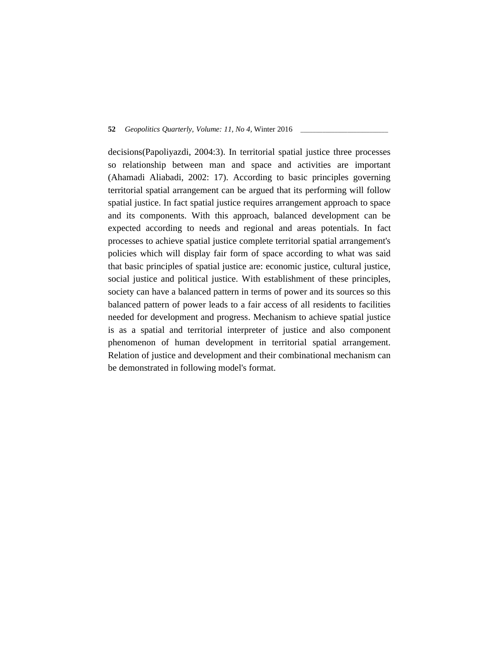decisions(Papoliyazdi, 2004:3). In territorial spatial justice three processes so relationship between man and space and activities are important (Ahamadi Aliabadi, 2002: 17). According to basic principles governing territorial spatial arrangement can be argued that its performing will follow spatial justice. In fact spatial justice requires arrangement approach to space and its components. With this approach, balanced development can be expected according to needs and regional and areas potentials. In fact processes to achieve spatial justice complete territorial spatial arrangement's policies which will display fair form of space according to what was said that basic principles of spatial justice are: economic justice, cultural justice, social justice and political justice. With establishment of these principles, society can have a balanced pattern in terms of power and its sources so this balanced pattern of power leads to a fair access of all residents to facilities needed for development and progress. Mechanism to achieve spatial justice is as a spatial and territorial interpreter of justice and also component phenomenon of human development in territorial spatial arrangement. Relation of justice and development and their combinational mechanism can be demonstrated in following model's format.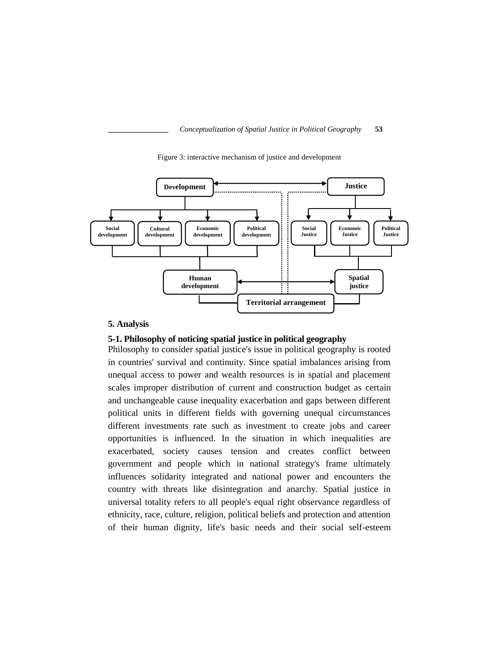

Figure 3: interactive mechanism of justice and development

#### **5. Analysis**

## **5-1. Philosophy of noticing spatial justice in political geography**

Philosophy to consider spatial justice's issue in political geography is rooted in countries' survival and continuity. Since spatial imbalances arising from unequal access to power and wealth resources is in spatial and placement scales improper distribution of current and construction budget as certain and unchangeable cause inequality exacerbation and gaps between different political units in different fields with governing unequal circumstances different investments rate such as investment to create jobs and career opportunities is influenced. In the situation in which inequalities are exacerbated, society causes tension and creates conflict between government and people which in national strategy's frame ultimately influences solidarity integrated and national power and encounters the country with threats like disintegration and anarchy. Spatial justice in universal totality refers to all people's equal right observance regardless of ethnicity, race, culture, religion, political beliefs and protection and attention of their human dignity, life's basic needs and their social self-esteem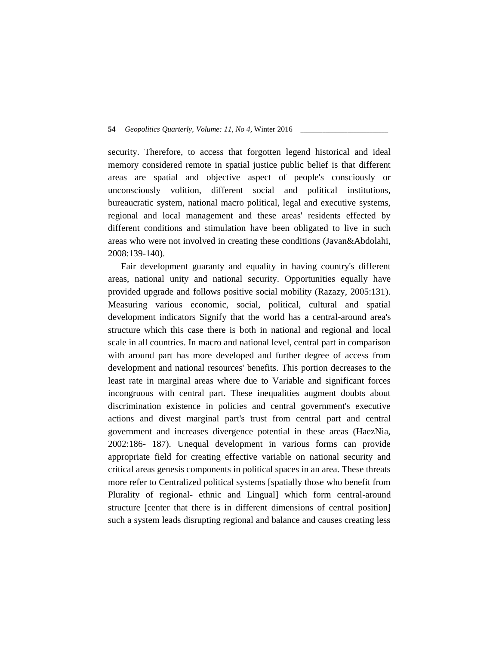security. Therefore, to access that forgotten legend historical and ideal memory considered remote in spatial justice public belief is that different areas are spatial and objective aspect of people's consciously or unconsciously volition, different social and political institutions, bureaucratic system, national macro political, legal and executive systems, regional and local management and these areas' residents effected by different conditions and stimulation have been obligated to live in such areas who were not involved in creating these conditions (Javan&Abdolahi, 2008:139-140).

Fair development guaranty and equality in having country's different areas, national unity and national security. Opportunities equally have provided upgrade and follows positive social mobility (Razazy, 2005:131). Measuring various economic, social, political, cultural and spatial development indicators Signify that the world has a central-around area's structure which this case there is both in national and regional and local scale in all countries. In macro and national level, central part in comparison with around part has more developed and further degree of access from development and national resources' benefits. This portion decreases to the least rate in marginal areas where due to Variable and significant forces incongruous with central part. These inequalities augment doubts about discrimination existence in policies and central government's executive actions and divest marginal part's trust from central part and central government and increases divergence potential in these areas (HaezNia, 2002:186- 187). Unequal development in various forms can provide appropriate field for creating effective variable on national security and critical areas genesis components in political spaces in an area. These threats more refer to Centralized political systems [spatially those who benefit from Plurality of regional- ethnic and Lingual] which form central-around structure [center that there is in different dimensions of central position] such a system leads disrupting regional and balance and causes creating less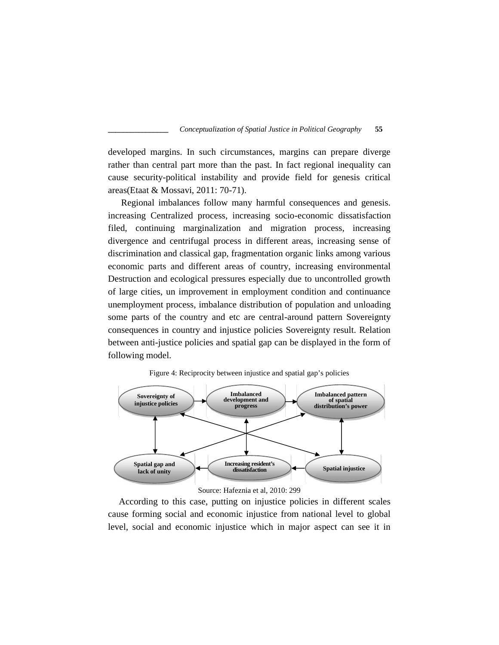developed margins. In such circumstances, margins can prepare diverge rather than central part more than the past. In fact regional inequality can cause security-political instability and provide field for genesis critical areas(Etaat & Mossavi, 2011: 70-71).

Regional imbalances follow many harmful consequences and genesis. increasing Centralized process, increasing socio-economic dissatisfaction filed, continuing marginalization and migration process, increasing divergence and centrifugal process in different areas, increasing sense of discrimination and classical gap, fragmentation organic links among various economic parts and different areas of country, increasing environmental Destruction and ecological pressures especially due to uncontrolled growth of large cities, un improvement in employment condition and continuance unemployment process, imbalance distribution of population and unloading some parts of the country and etc are central-around pattern Sovereignty consequences in country and injustice policies Sovereignty result. Relation between anti-justice policies and spatial gap can be displayed in the form of following model.





Source: Hafeznia et al, 2010: 299

According to this case, putting on injustice policies in different scales cause forming social and economic injustice from national level to global level, social and economic injustice which in major aspect can see it in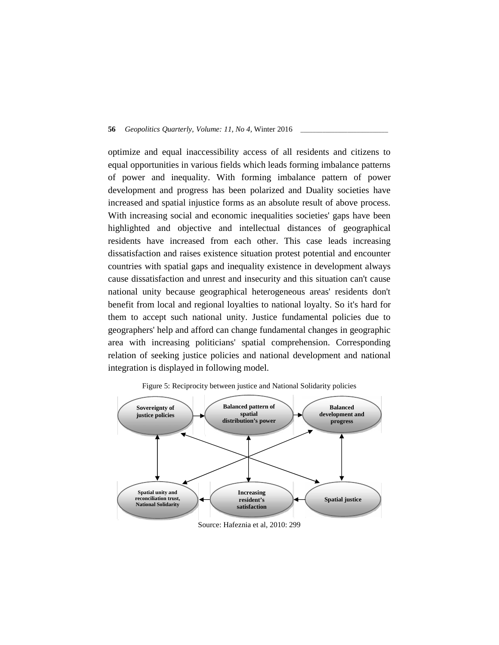optimize and equal inaccessibility access of all residents and citizens to equal opportunities in various fields which leads forming imbalance patterns of power and inequality. With forming imbalance pattern of power development and progress has been polarized and Duality societies have increased and spatial injustice forms as an absolute result of above process. With increasing social and economic inequalities societies' gaps have been highlighted and objective and intellectual distances of geographical residents have increased from each other. This case leads increasing dissatisfaction and raises existence situation protest potential and encounter countries with spatial gaps and inequality existence in development always cause dissatisfaction and unrest and insecurity and this situation can't cause national unity because geographical heterogeneous areas' residents don't benefit from local and regional loyalties to national loyalty. So it's hard for them to accept such national unity. Justice fundamental policies due to geographers' help and afford can change fundamental changes in geographic area with increasing politicians' spatial comprehension. Corresponding relation of seeking justice policies and national development and national integration is displayed in following model.





#### Source: Hafeznia et al, 2010: 299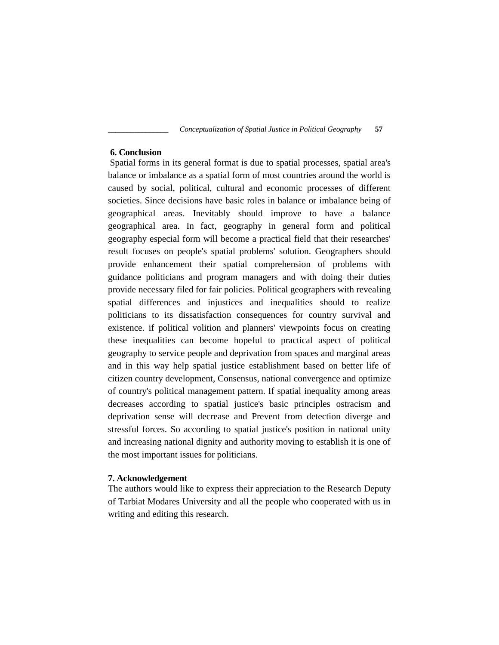## **6. Conclusion**

Spatial forms in its general format is due to spatial processes, spatial area's balance or imbalance as a spatial form of most countries around the world is caused by social, political, cultural and economic processes of different societies. Since decisions have basic roles in balance or imbalance being of geographical areas. Inevitably should improve to have a balance geographical area. In fact, geography in general form and political geography especial form will become a practical field that their researches' result focuses on people's spatial problems' solution. Geographers should provide enhancement their spatial comprehension of problems with guidance politicians and program managers and with doing their duties provide necessary filed for fair policies. Political geographers with revealing spatial differences and injustices and inequalities should to realize politicians to its dissatisfaction consequences for country survival and existence. if political volition and planners' viewpoints focus on creating these inequalities can become hopeful to practical aspect of political geography to service people and deprivation from spaces and marginal areas and in this way help spatial justice establishment based on better life of citizen country development, Consensus, national convergence and optimize of country's political management pattern. If spatial inequality among areas decreases according to spatial justice's basic principles ostracism and deprivation sense will decrease and Prevent from detection diverge and stressful forces. So according to spatial justice's position in national unity and increasing national dignity and authority moving to establish it is one of the most important issues for politicians.

## **7. Acknowledgement**

The authors would like to express their appreciation to the Research Deputy of Tarbiat Modares University and all the people who cooperated with us in writing and editing this research.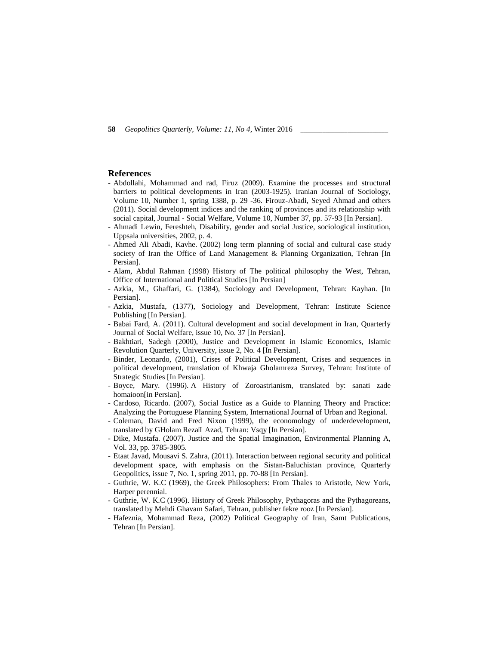### **References**

- Abdollahi, Mohammad and rad, Firuz (2009). Examine the processes and structural barriers to political developments in Iran (2003-1925). Iranian Journal of Sociology, Volume 10, Number 1, spring 1388, p. 29 -36. Firouz-Abadi, Seyed Ahmad and others (2011). Social development indices and the ranking of provinces and its relationship with social capital, Journal - Social Welfare, Volume 10, Number 37, pp. 57-93 [In Persian].
- Ahmadi Lewin, Fereshteh, Disability, gender and social Justice, sociological institution, Uppsala universities, 2002, p. 4.
- Ahmed Ali Abadi, Kavhe. (2002) long term planning of social and cultural case study society of Iran the Office of Land Management & Planning Organization, Tehran [In Persian].
- Alam, Abdul Rahman (1998) History of The political philosophy the West, Tehran, Office of International and Political Studies [In Persian]
- Azkia, M., Ghaffari, G. (1384), Sociology and Development, Tehran: Kayhan. [In Persian].
- Azkia, Mustafa, (1377), Sociology and Development, Tehran: Institute Science Publishing [In Persian].
- Babai Fard, A. (2011). Cultural development and social development in Iran, Quarterly Journal of Social Welfare, issue 10, No. 37 [In Persian].
- Bakhtiari, Sadegh (2000), Justice and Development in Islamic Economics, Islamic Revolution Quarterly, University, issue 2, No. 4 [In Persian].
- Binder, Leonardo, (2001), Crises of Political Development, Crises and sequences in political development, translation of Khwaja Gholamreza Survey, Tehran: Institute of Strategic Studies [In Persian].
- Boyce, Mary. (1996). A History of Zoroastrianism, translated by: sanati zade homaioon[in Persian].
- Cardoso, Ricardo. (2007), Social Justice as a Guide to Planning Theory and Practice: Analyzing the Portuguese Planning System, International Journal of Urban and Regional.
- Coleman, David and Fred Nixon (1999), the economology of underdevelopment, translated by GHolam Reza Azad, Tehran: Vsqy [In Persian].
- Dike, Mustafa. (2007). Justice and the Spatial Imagination, Environmental Planning A, Vol. 33, pp. 3785-3805.
- Etaat Javad, Mousavi S. Zahra, (2011). Interaction between regional security and political development space, with emphasis on the Sistan-Baluchistan province, Quarterly Geopolitics, issue 7, No. 1, spring 2011, pp. 70-88 [In Persian].
- Guthrie, W. K.C (1969), the Greek Philosophers: From Thales to Aristotle, New York, Harper perennial.
- Guthrie, W. K.C (1996). History of Greek Philosophy, Pythagoras and the Pythagoreans, translated by Mehdi Ghavam Safari, Tehran, publisher fekre rooz [In Persian].
- Hafeznia, Mohammad Reza, (2002) Political Geography of Iran, Samt Publications, Tehran [In Persian].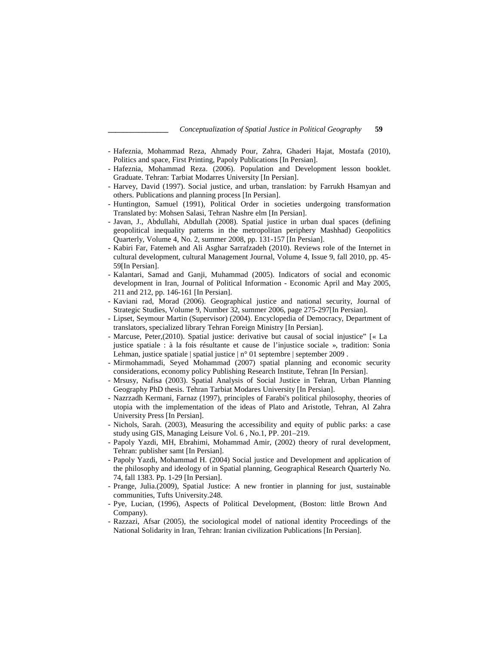- Hafeznia, Mohammad Reza, Ahmady Pour, Zahra, Ghaderi Hajat, Mostafa (2010), Politics and space, First Printing, Papoly Publications [In Persian].
- Hafeznia, Mohammad Reza. (2006). Population and Development lesson booklet. Graduate. Tehran: Tarbiat Modarres University [In Persian].
- Harvey, David (1997). Social justice, and urban, translation: by Farrukh Hsamyan and others. Publications and planning process [In Persian].
- Huntington, Samuel (1991), Political Order in societies undergoing transformation Translated by: Mohsen Salasi, Tehran Nashre elm [In Persian].
- Javan, J., Abdullahi, Abdullah (2008). Spatial justice in urban dual spaces (defining geopolitical inequality patterns in the metropolitan periphery Mashhad) Geopolitics Quarterly, Volume 4, No. 2, summer 2008, pp. 131-157 [In Persian].
- Kabiri Far, Fatemeh and Ali Asghar Sarrafzadeh (2010). Reviews role of the Internet in cultural development, cultural Management Journal, Volume 4, Issue 9, fall 2010, pp. 45- 59[In Persian].
- Kalantari, Samad and Ganji, Muhammad (2005). Indicators of social and economic development in Iran, Journal of Political Information - Economic April and May 2005, 211 and 212, pp. 146-161 [In Persian].
- Kaviani rad, Morad (2006). Geographical justice and national security, Journal of Strategic Studies, Volume 9, Number 32, summer 2006, page 275-297[In Persian].
- Lipset, Seymour Martin (Supervisor) (2004). Encyclopedia of Democracy, Department of translators, specialized library Tehran Foreign Ministry [In Persian].
- Marcuse, Peter,(2010). Spatial justice: derivative but causal of social injustice" [« La justice spatiale : à la fois résultante et cause de l'injustice sociale », tradition: Sonia Lehman, justice spatiale | spatial justice | n° 01 septembre | september 2009 .
- Mirmohammadi, Seyed Mohammad (2007) spatial planning and economic security considerations, economy policy Publishing Research Institute, Tehran [In Persian].
- Mrsusy, Nafisa (2003). Spatial Analysis of Social Justice in Tehran, Urban Planning Geography PhD thesis. Tehran Tarbiat Modares University [In Persian].
- Nazrzadh Kermani, Farnaz (1997), principles of Farabi's political philosophy, theories of utopia with the implementation of the ideas of Plato and Aristotle, Tehran, Al Zahra University Press [In Persian].
- Nichols, Sarah. (2003), Measuring the accessibility and equity of public parks: a case study using GIS, Managing Leisure Vol. 6 , No.1, PP. 201–219.
- Papoly Yazdi, MH, Ebrahimi, Mohammad Amir, (2002) theory of rural development, Tehran: publisher samt [In Persian].
- Papoly Yazdi, Mohammad H. (2004) Social justice and Development and application of the philosophy and ideology of in Spatial planning, Geographical Research Quarterly No. 74, fall 1383. Pp. 1-29 [In Persian].
- Prange, Julia.(2009), Spatial Justice: A new frontier in planning for just, sustainable communities, Tufts University.248.
- Pye, Lucian, (1996), Aspects of Political Development, (Boston: little Brown And Company).
- Razzazi, Afsar (2005), the sociological model of national identity Proceedings of the National Solidarity in Iran, Tehran: Iranian civilization Publications [In Persian].